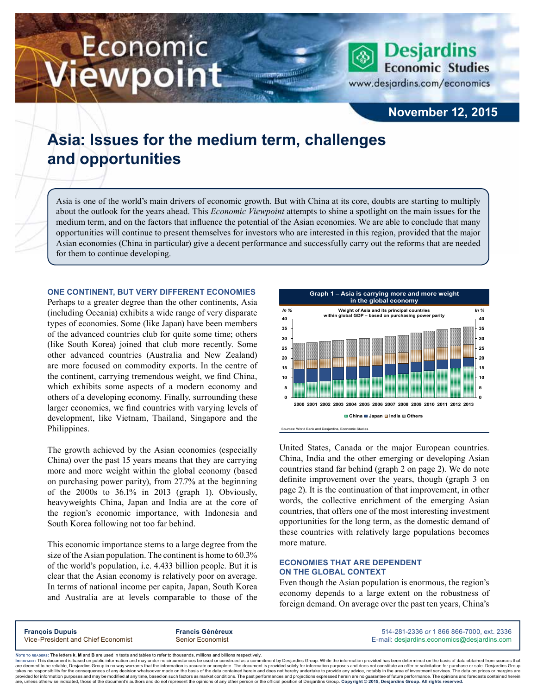# Economic iewpoint



www.desjardins.com/economics

## **November 12, 2015**

## **Asia: Issues for the medium term, challenges and opportunities**

Asia is one of the world's main drivers of economic growth. But with China at its core, doubts are starting to multiply about the outlook for the years ahead. This *Economic Viewpoint* attempts to shine a spotlight on the main issues for the medium term, and on the factors that influence the potential of the Asian economies. We are able to conclude that many opportunities will continue to present themselves for investors who are interested in this region, provided that the major Asian economies (China in particular) give a decent performance and successfully carry out the reforms that are needed for them to continue developing.

#### **One continent, but very different economies**

Perhaps to a greater degree than the other continents, Asia (including Oceania) exhibits a wide range of very disparate types of economies. Some (like Japan) have been members of the advanced countries club for quite some time; others (like South Korea) joined that club more recently. Some other advanced countries (Australia and New Zealand) are more focused on commodity exports. In the centre of the continent, carrying tremendous weight, we find China, which exhibits some aspects of a modern economy and others of a developing economy. Finally, surrounding these larger economies, we find countries with varying levels of development, like Vietnam, Thailand, Singapore and the Philippines.

The growth achieved by the Asian economies (especially China) over the past 15 years means that they are carrying more and more weight within the global economy (based on purchasing power parity), from 27.7% at the beginning of the 2000s to 36.1% in 2013 (graph 1). Obviously, heavyweights China, Japan and India are at the core of the region's economic importance, with Indonesia and South Korea following not too far behind.

This economic importance stems to a large degree from the size of the Asian population. The continent is home to 60.3% of the world's population, i.e. 4.433 billion people. But it is clear that the Asian economy is relatively poor on average. In terms of national income per capita, Japan, South Korea and Australia are at levels comparable to those of the



United States, Canada or the major European countries. China, India and the other emerging or developing Asian countries stand far behind (graph 2 on page 2). We do note definite improvement over the years, though (graph 3 on page 2). It is the continuation of that improvement, in other words, the collective enrichment of the emerging Asian countries, that offers one of the most interesting investment opportunities for the long term, as the domestic demand of these countries with relatively large populations becomes more mature.

#### **Economies that are dependent on the global context**

Even though the Asian population is enormous, the region's economy depends to a large extent on the robustness of foreign demand. On average over the past ten years, China's

|--|

Noте то келоекs: The letters **k, M** and **B** are used in texts and tables to refer to thousands, millions and billions respectively.<br>Імроктлит: This document is based on public information and may under no circumstances be

are deemed to be reliable. Desiardins Group in no way warrants that the information is accurate or complete. The document is provided solely for information purposes and does not constitute an offer or solicitation for pur takes no responsibility for the consequences of any decision whatsoever made on the basis of the data contained herein and does not hereby undertake to provide any advice, notably in the area of investment services. The da .<br>are, unless otherwise indicated, those of the document's authors and do not represent the opinions of any other person or the official position of Desjardins Group. Copyright © 2015, Desjardins Group. All rights reserve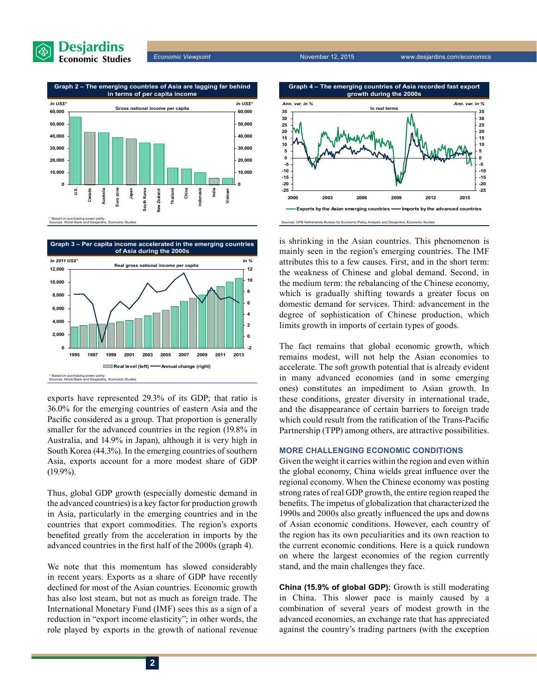





**Graph 3 – Per capita income accelerated in the emerging countries** 



exports have represented 29.3% of its GDP; that ratio is 36.0% for the emerging countries of eastern Asia and the Pacific considered as a group. That proportion is generally smaller for the advanced countries in the region (19.8% in Australia, and 14.9% in Japan), although it is very high in South Korea (44.3%). In the emerging countries of southern Asia, exports account for a more modest share of GDP (19.9%).

Thus, global GDP growth (especially domestic demand in the advanced countries) is a key factor for production growth in Asia, particularly in the emerging countries and in the countries that export commodities. The region's exports benefited greatly from the acceleration in imports by the advanced countries in the first half of the 2000s (graph 4).

We note that this momentum has slowed considerably in recent years. Exports as a share of GDP have recently declined for most of the Asian countries. Economic growth has also lost steam, but not as much as foreign trade. The International Monetary Fund (IMF) sees this as a sign of a reduction in "export income elasticity"; in other words, the role played by exports in the growth of national revenue





Sources: CPB Netherlands Bureau for Economic Policy Analysis and Desjardins, Economic Studies

is shrinking in the Asian countries. This phenomenon is mainly seen in the region's emerging countries. The IMF attributes this to a few causes. First, and in the short term: the weakness of Chinese and global demand. Second, in the medium term: the rebalancing of the Chinese economy, which is gradually shifting towards a greater focus on domestic demand for services. Third: advancement in the degree of sophistication of Chinese production, which limits growth in imports of certain types of goods.

The fact remains that global economic growth, which remains modest, will not help the Asian economies to accelerate. The soft growth potential that is already evident in many advanced economies (and in some emerging ones) constitutes an impediment to Asian growth. In these conditions, greater diversity in international trade, and the disappearance of certain barriers to foreign trade which could result from the ratification of the Trans-Pacific Partnership (TPP) among others, are attractive possibilities.

#### **More challenging economic conditions**

Given the weight it carries within the region and even within the global economy, China wields great influence over the regional economy. When the Chinese economy was posting strong rates of real GDP growth, the entire region reaped the benefits. The impetus of globalization that characterized the 1990s and 2000s also greatly influenced the ups and downs of Asian economic conditions. However, each country of the region has its own peculiarities and its own reaction to the current economic conditions. Here is a quick rundown on where the largest economies of the region currently stand, and the main challenges they face.

**China (15.9% of global GDP):** Growth is still moderating in China. This slower pace is mainly caused by a combination of several years of modest growth in the advanced economies, an exchange rate that has appreciated against the country's trading partners (with the exception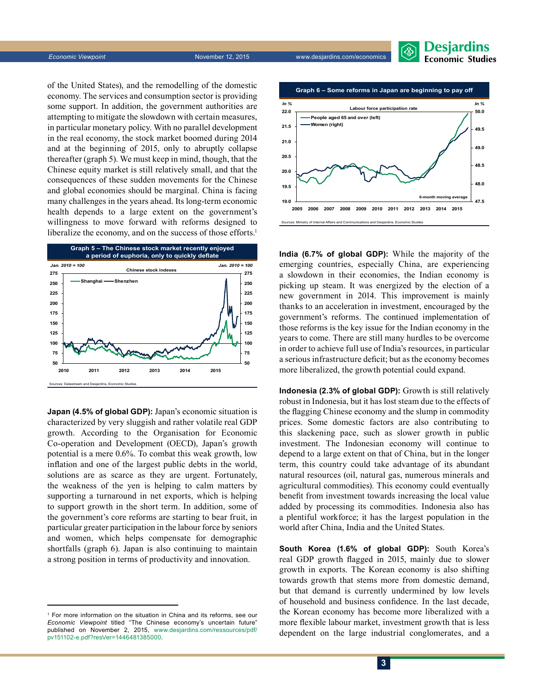*Economic Viewpoint* November 12, 2015 www.desjardins.com/economics



of the United States), and the remodelling of the domestic economy. The services and consumption sector is providing some support. In addition, the government authorities are attempting to mitigate the slowdown with certain measures, in particular monetary policy. With no parallel development in the real economy, the stock market boomed during 2014 and at the beginning of 2015, only to abruptly collapse thereafter (graph 5). We must keep in mind, though, that the Chinese equity market is still relatively small, and that the consequences of these sudden movements for the Chinese and global economies should be marginal. China is facing many challenges in the years ahead. Its long-term economic health depends to a large extent on the government's willingness to move forward with reforms designed to liberalize the economy, and on the success of those efforts.<sup>1</sup>



**Japan (4.5% of global GDP):** Japan's economic situation is characterized by very sluggish and rather volatile real GDP growth. According to the Organisation for Economic Co-operation and Development (OECD), Japan's growth potential is a mere 0.6%. To combat this weak growth, low inflation and one of the largest public debts in the world, solutions are as scarce as they are urgent. Fortunately, the weakness of the yen is helping to calm matters by supporting a turnaround in net exports, which is helping to support growth in the short term. In addition, some of the government's core reforms are starting to bear fruit, in particular greater participation in the labour force by seniors and women, which helps compensate for demographic shortfalls (graph 6). Japan is also continuing to maintain a strong position in terms of productivity and innovation.



**India (6.7% of global GDP):** While the majority of the emerging countries, especially China, are experiencing a slowdown in their economies, the Indian economy is picking up steam. It was energized by the election of a new government in 2014. This improvement is mainly thanks to an acceleration in investment, encouraged by the government's reforms. The continued implementation of those reforms is the key issue for the Indian economy in the years to come. There are still many hurdles to be overcome in order to achieve full use of India's resources, in particular a serious infrastructure deficit; but as the economy becomes more liberalized, the growth potential could expand.

**Indonesia (2.3% of global GDP):** Growth is still relatively robust in Indonesia, but it has lost steam due to the effects of the flagging Chinese economy and the slump in commodity prices. Some domestic factors are also contributing to this slackening pace, such as slower growth in public investment. The Indonesian economy will continue to depend to a large extent on that of China, but in the longer term, this country could take advantage of its abundant natural resources (oil, natural gas, numerous minerals and agricultural commodities). This economy could eventually benefit from investment towards increasing the local value added by processing its commodities. Indonesia also has a plentiful workforce; it has the largest population in the world after China, India and the United States.

**South Korea (1.6% of global GDP):** South Korea's real GDP growth flagged in 2015, mainly due to slower growth in exports. The Korean economy is also shifting towards growth that stems more from domestic demand, but that demand is currently undermined by low levels of household and business confidence. In the last decade, the Korean economy has become more liberalized with a more flexible labour market, investment growth that is less dependent on the large industrial conglomerates, and a

<sup>1</sup> For more information on the situation in China and its reforms, see our *Economic Viewpoint* titled "The Chinese economy's uncertain future" published on November 2, 2015, [www.desjardins.com/ressources/pdf/](http://www.desjardins.com/ressources/pdf/pv151102-e.pdf?resVer=1446481385000) [pv151102-e.pdf?resVer=1446481385000.](http://www.desjardins.com/ressources/pdf/pv151102-e.pdf?resVer=1446481385000)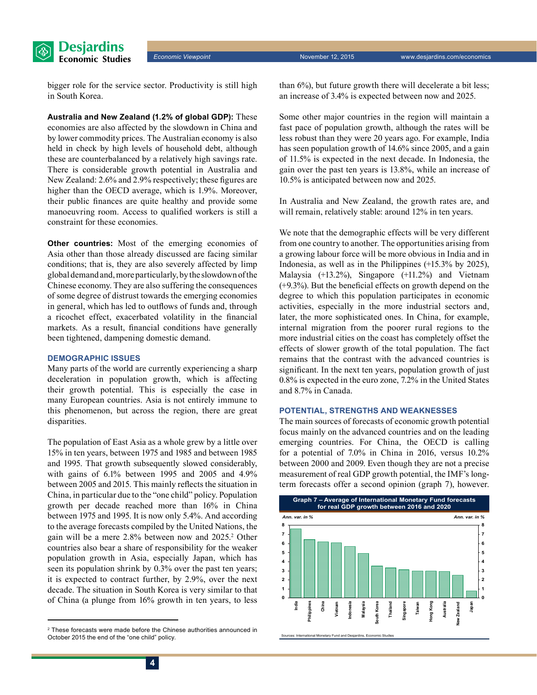

bigger role for the service sector. Productivity is still high in South Korea.

**Australia and New Zealand (1.2% of global GDP):** These economies are also affected by the slowdown in China and by lower commodity prices. The Australian economy is also held in check by high levels of household debt, although these are counterbalanced by a relatively high savings rate. There is considerable growth potential in Australia and New Zealand: 2.6% and 2.9% respectively; these figures are higher than the OECD average, which is 1.9%. Moreover, their public finances are quite healthy and provide some manoeuvring room. Access to qualified workers is still a constraint for these economies.

**Other countries:** Most of the emerging economies of Asia other than those already discussed are facing similar conditions; that is, they are also severely affected by limp global demand and, more particularly, by the slowdown of the Chinese economy. They are also suffering the consequences of some degree of distrust towards the emerging economies in general, which has led to outflows of funds and, through a ricochet effect, exacerbated volatility in the financial markets. As a result, financial conditions have generally been tightened, dampening domestic demand.

#### **Demographic issues**

Many parts of the world are currently experiencing a sharp deceleration in population growth, which is affecting their growth potential. This is especially the case in many European countries. Asia is not entirely immune to this phenomenon, but across the region, there are great disparities.

The population of East Asia as a whole grew by a little over 15% in ten years, between 1975 and 1985 and between 1985 and 1995. That growth subsequently slowed considerably, with gains of 6.1% between 1995 and 2005 and 4.9% between 2005 and 2015. This mainly reflects the situation in China, in particular due to the "one child" policy. Population growth per decade reached more than 16% in China between 1975 and 1995. It is now only 5.4%. And according to the average forecasts compiled by the United Nations, the gain will be a mere 2.8% between now and 2025.<sup>2</sup> Other countries also bear a share of responsibility for the weaker population growth in Asia, especially Japan, which has seen its population shrink by 0.3% over the past ten years; it is expected to contract further, by 2.9%, over the next decade. The situation in South Korea is very similar to that of China (a plunge from 16% growth in ten years, to less

than 6%), but future growth there will decelerate a bit less; an increase of 3.4% is expected between now and 2025.

Some other major countries in the region will maintain a fast pace of population growth, although the rates will be less robust than they were 20 years ago. For example, India has seen population growth of 14.6% since 2005, and a gain of 11.5% is expected in the next decade. In Indonesia, the gain over the past ten years is 13.8%, while an increase of 10.5% is anticipated between now and 2025.

In Australia and New Zealand, the growth rates are, and will remain, relatively stable: around 12% in ten years.

We note that the demographic effects will be very different from one country to another. The opportunities arising from a growing labour force will be more obvious in India and in Indonesia, as well as in the Philippines (+15.3% by 2025), Malaysia (+13.2%), Singapore (+11.2%) and Vietnam (+9.3%). But the beneficial effects on growth depend on the degree to which this population participates in economic activities, especially in the more industrial sectors and, later, the more sophisticated ones. In China, for example, internal migration from the poorer rural regions to the more industrial cities on the coast has completely offset the effects of slower growth of the total population. The fact remains that the contrast with the advanced countries is significant. In the next ten years, population growth of just 0.8% is expected in the euro zone, 7.2% in the United States and 8.7% in Canada.

#### **Potential, strengths and weaknesses**

The main sources of forecasts of economic growth potential focus mainly on the advanced countries and on the leading emerging countries. For China, the OECD is calling for a potential of 7.0% in China in 2016, versus 10.2% between 2000 and 2009. Even though they are not a precise measurement of real GDP growth potential, the IMF's longterm forecasts offer a second opinion (graph 7), however.



<sup>&</sup>lt;sup>2</sup> These forecasts were made before the Chinese authorities announced in October 2015 the end of the "one child" policy.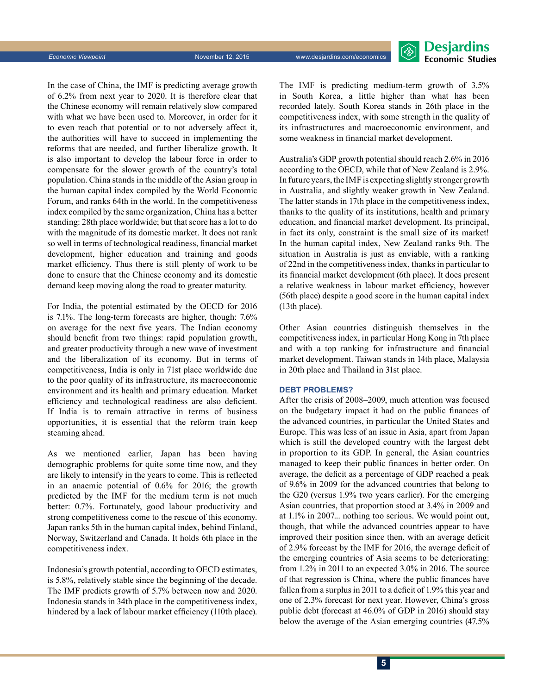

In the case of China, the IMF is predicting average growth of 6.2% from next year to 2020. It is therefore clear that the Chinese economy will remain relatively slow compared with what we have been used to. Moreover, in order for it to even reach that potential or to not adversely affect it, the authorities will have to succeed in implementing the reforms that are needed, and further liberalize growth. It is also important to develop the labour force in order to compensate for the slower growth of the country's total population. China stands in the middle of the Asian group in the human capital index compiled by the World Economic Forum, and ranks 64th in the world. In the competitiveness index compiled by the same organization, China has a better standing: 28th place worldwide; but that score has a lot to do with the magnitude of its domestic market. It does not rank so well in terms of technological readiness, financial market development, higher education and training and goods market efficiency. Thus there is still plenty of work to be done to ensure that the Chinese economy and its domestic demand keep moving along the road to greater maturity.

For India, the potential estimated by the OECD for 2016 is 7.1%. The long-term forecasts are higher, though: 7.6% on average for the next five years. The Indian economy should benefit from two things: rapid population growth, and greater productivity through a new wave of investment and the liberalization of its economy. But in terms of competitiveness, India is only in 71st place worldwide due to the poor quality of its infrastructure, its macroeconomic environment and its health and primary education. Market efficiency and technological readiness are also deficient. If India is to remain attractive in terms of business opportunities, it is essential that the reform train keep steaming ahead.

As we mentioned earlier, Japan has been having demographic problems for quite some time now, and they are likely to intensify in the years to come. This is reflected in an anaemic potential of 0.6% for 2016; the growth predicted by the IMF for the medium term is not much better: 0.7%. Fortunately, good labour productivity and strong competitiveness come to the rescue of this economy. Japan ranks 5th in the human capital index, behind Finland, Norway, Switzerland and Canada. It holds 6th place in the competitiveness index.

Indonesia's growth potential, according to OECD estimates, is 5.8%, relatively stable since the beginning of the decade. The IMF predicts growth of 5.7% between now and 2020. Indonesia stands in 34th place in the competitiveness index, hindered by a lack of labour market efficiency (110th place). The IMF is predicting medium-term growth of 3.5% in South Korea, a little higher than what has been recorded lately. South Korea stands in 26th place in the competitiveness index, with some strength in the quality of its infrastructures and macroeconomic environment, and some weakness in financial market development.

Australia's GDP growth potential should reach 2.6% in 2016 according to the OECD, while that of New Zealand is 2.9%. In future years, the IMF is expecting slightly stronger growth in Australia, and slightly weaker growth in New Zealand. The latter stands in 17th place in the competitiveness index, thanks to the quality of its institutions, health and primary education, and financial market development. Its principal, in fact its only, constraint is the small size of its market! In the human capital index, New Zealand ranks 9th. The situation in Australia is just as enviable, with a ranking of 22nd in the competitiveness index, thanks in particular to its financial market development (6th place). It does present a relative weakness in labour market efficiency, however (56th place) despite a good score in the human capital index (13th place).

Other Asian countries distinguish themselves in the competitiveness index, in particular Hong Kong in 7th place and with a top ranking for infrastructure and financial market development. Taiwan stands in 14th place, Malaysia in 20th place and Thailand in 31st place.

#### **DEBT PROBLEMS?**

After the crisis of 2008–2009, much attention was focused on the budgetary impact it had on the public finances of the advanced countries, in particular the United States and Europe. This was less of an issue in Asia, apart from Japan which is still the developed country with the largest debt in proportion to its GDP. In general, the Asian countries managed to keep their public finances in better order. On average, the deficit as a percentage of GDP reached a peak of 9.6% in 2009 for the advanced countries that belong to the G20 (versus 1.9% two years earlier). For the emerging Asian countries, that proportion stood at 3.4% in 2009 and at 1.1% in 2007... nothing too serious. We would point out, though, that while the advanced countries appear to have improved their position since then, with an average deficit of 2.9% forecast by the IMF for 2016, the average deficit of the emerging countries of Asia seems to be deteriorating: from 1.2% in 2011 to an expected 3.0% in 2016. The source of that regression is China, where the public finances have fallen from a surplus in 2011 to a deficit of 1.9% this year and one of 2.3% forecast for next year. However, China's gross public debt (forecast at 46.0% of GDP in 2016) should stay below the average of the Asian emerging countries (47.5%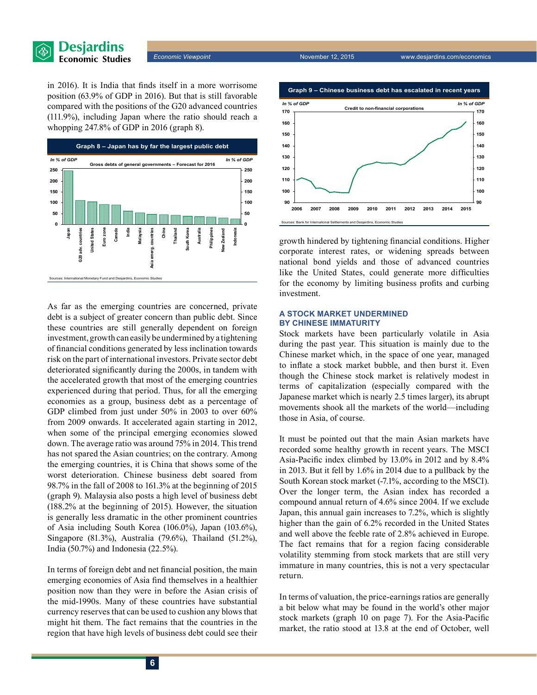

in 2016). It is India that finds itself in a more worrisome position (63.9% of GDP in 2016). But that is still favorable compared with the positions of the G20 advanced countries (111.9%), including Japan where the ratio should reach a whopping 247.8% of GDP in 2016 (graph 8).



As far as the emerging countries are concerned, private debt is a subject of greater concern than public debt. Since these countries are still generally dependent on foreign investment, growth can easily be undermined by a tightening of financial conditions generated by less inclination towards risk on the part of international investors. Private sector debt deteriorated significantly during the 2000s, in tandem with the accelerated growth that most of the emerging countries experienced during that period. Thus, for all the emerging economies as a group, business debt as a percentage of GDP climbed from just under 50% in 2003 to over 60% from 2009 onwards. It accelerated again starting in 2012, when some of the principal emerging economies slowed down. The average ratio was around 75% in 2014. This trend has not spared the Asian countries; on the contrary. Among the emerging countries, it is China that shows some of the worst deterioration. Chinese business debt soared from 98.7% in the fall of 2008 to 161.3% at the beginning of 2015 (graph 9). Malaysia also posts a high level of business debt (188.2% at the beginning of 2015). However, the situation is generally less dramatic in the other prominent countries of Asia including South Korea (106.0%), Japan (103.6%), Singapore (81.3%), Australia (79.6%), Thailand (51.2%), India (50.7%) and Indonesia (22.5%).

In terms of foreign debt and net financial position, the main emerging economies of Asia find themselves in a healthier position now than they were in before the Asian crisis of the mid-1990s. Many of these countries have substantial currency reserves that can be used to cushion any blows that might hit them. The fact remains that the countries in the region that have high levels of business debt could see their



growth hindered by tightening financial conditions. Higher corporate interest rates, or widening spreads between national bond yields and those of advanced countries like the United States, could generate more difficulties for the economy by limiting business profits and curbing investment.

#### **A stock market undermined by Chinese immaturity**

Stock markets have been particularly volatile in Asia during the past year. This situation is mainly due to the Chinese market which, in the space of one year, managed to inflate a stock market bubble, and then burst it. Even though the Chinese stock market is relatively modest in terms of capitalization (especially compared with the Japanese market which is nearly 2.5 times larger), its abrupt movements shook all the markets of the world—including those in Asia, of course.

It must be pointed out that the main Asian markets have recorded some healthy growth in recent years. The MSCI Asia‑Pacific index climbed by 13.0% in 2012 and by 8.4% in 2013. But it fell by 1.6% in 2014 due to a pullback by the South Korean stock market (-7.1%, according to the MSCI). Over the longer term, the Asian index has recorded a compound annual return of 4.6% since 2004. If we exclude Japan, this annual gain increases to 7.2%, which is slightly higher than the gain of 6.2% recorded in the United States and well above the feeble rate of 2.8% achieved in Europe. The fact remains that for a region facing considerable volatility stemming from stock markets that are still very immature in many countries, this is not a very spectacular return.

In terms of valuation, the price-earnings ratios are generally a bit below what may be found in the world's other major stock markets (graph 10 on page 7). For the Asia-Pacific market, the ratio stood at 13.8 at the end of October, well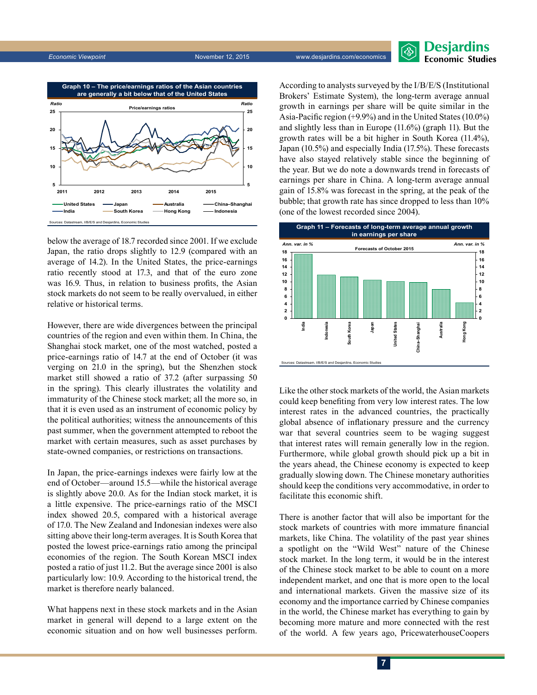

### Desjardins **Economic Studies**



below the average of 18.7 recorded since 2001. If we exclude Japan, the ratio drops slightly to 12.9 (compared with an average of 14.2). In the United States, the price-earnings ratio recently stood at 17.3, and that of the euro zone was 16.9. Thus, in relation to business profits, the Asian stock markets do not seem to be really overvalued, in either relative or historical terms.

However, there are wide divergences between the principal countries of the region and even within them. In China, the Shanghai stock market, one of the most watched, posted a price-earnings ratio of 14.7 at the end of October (it was verging on 21.0 in the spring), but the Shenzhen stock market still showed a ratio of 37.2 (after surpassing 50 in the spring). This clearly illustrates the volatility and immaturity of the Chinese stock market; all the more so, in that it is even used as an instrument of economic policy by the political authorities; witness the announcements of this past summer, when the government attempted to reboot the market with certain measures, such as asset purchases by state-owned companies, or restrictions on transactions.

In Japan, the price-earnings indexes were fairly low at the end of October—around 15.5—while the historical average is slightly above 20.0. As for the Indian stock market, it is a little expensive. The price-earnings ratio of the MSCI index showed 20.5, compared with a historical average of 17.0. The New Zealand and Indonesian indexes were also sitting above their long-term averages. It is South Korea that posted the lowest price-earnings ratio among the principal economies of the region. The South Korean MSCI index posted a ratio of just 11.2. But the average since 2001 is also particularly low: 10.9. According to the historical trend, the market is therefore nearly balanced.

What happens next in these stock markets and in the Asian market in general will depend to a large extent on the economic situation and on how well businesses perform.

According to analysts surveyed by the I/B/E/S (Institutional Brokers' Estimate System), the long-term average annual growth in earnings per share will be quite similar in the Asia‑Pacific region (+9.9%) and in the United States (10.0%) and slightly less than in Europe (11.6%) (graph 11). But the growth rates will be a bit higher in South Korea (11.4%), Japan (10.5%) and especially India (17.5%). These forecasts have also stayed relatively stable since the beginning of the year. But we do note a downwards trend in forecasts of earnings per share in China. A long-term average annual gain of 15.8% was forecast in the spring, at the peak of the bubble; that growth rate has since dropped to less than 10% (one of the lowest recorded since 2004).



Like the other stock markets of the world, the Asian markets could keep benefiting from very low interest rates. The low interest rates in the advanced countries, the practically global absence of inflationary pressure and the currency war that several countries seem to be waging suggest that interest rates will remain generally low in the region. Furthermore, while global growth should pick up a bit in the years ahead, the Chinese economy is expected to keep gradually slowing down. The Chinese monetary authorities should keep the conditions very accommodative, in order to facilitate this economic shift.

There is another factor that will also be important for the stock markets of countries with more immature financial markets, like China. The volatility of the past year shines a spotlight on the "Wild West" nature of the Chinese stock market. In the long term, it would be in the interest of the Chinese stock market to be able to count on a more independent market, and one that is more open to the local and international markets. Given the massive size of its economy and the importance carried by Chinese companies in the world, the Chinese market has everything to gain by becoming more mature and more connected with the rest of the world. A few years ago, PricewaterhouseCoopers